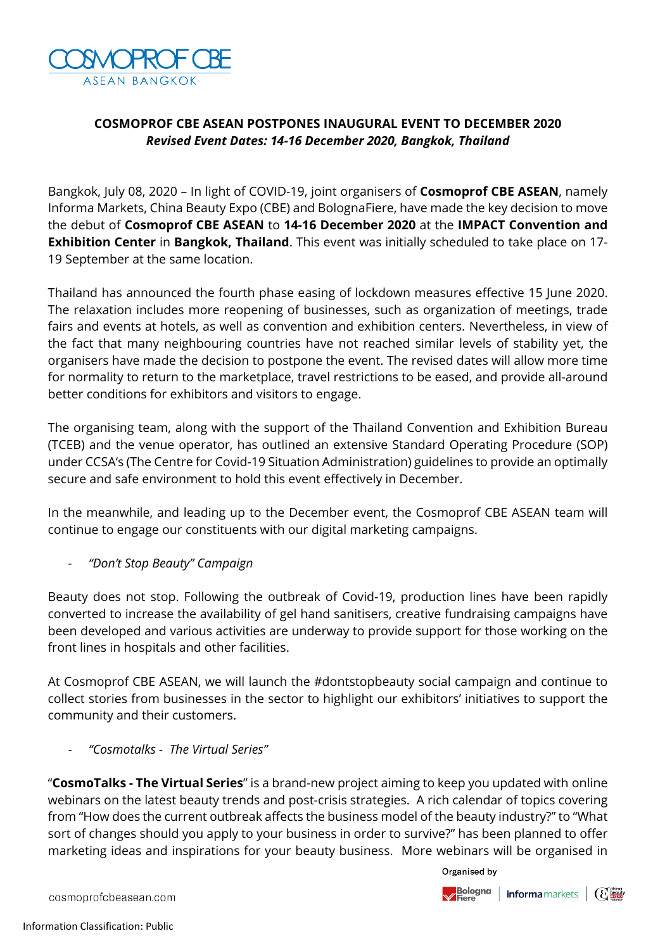

# **COSMOPROF CBE ASEAN POSTPONES INAUGURAL EVENT TO DECEMBER 2020** *Revised Event Dates: 14-16 December 2020, Bangkok, Thailand*

Bangkok, July 08, 2020 – In light of COVID-19, joint organisers of **Cosmoprof CBE ASEAN**, namely Informa Markets, China Beauty Expo (CBE) and BolognaFiere, have made the key decision to move the debut of **Cosmoprof CBE ASEAN** to **14-16 December 2020** at the **IMPACT Convention and Exhibition Center** in **Bangkok, Thailand**. This event was initially scheduled to take place on 17- 19 September at the same location.

Thailand has announced the fourth phase easing of lockdown measures effective 15 June 2020. The relaxation includes more reopening of businesses, such as organization of meetings, trade fairs and events at hotels, as well as convention and exhibition centers. Nevertheless, in view of the fact that many neighbouring countries have not reached similar levels of stability yet, the organisers have made the decision to postpone the event. The revised dates will allow more time for normality to return to the marketplace, travel restrictions to be eased, and provide all-around better conditions for exhibitors and visitors to engage.

The organising team, along with the support of the Thailand Convention and Exhibition Bureau (TCEB) and the venue operator, has outlined an extensive Standard Operating Procedure (SOP) under CCSA's (The Centre for Covid-19 Situation Administration) guidelines to provide an optimally secure and safe environment to hold this event effectively in December.

In the meanwhile, and leading up to the December event, the Cosmoprof CBE ASEAN team will continue to engage our constituents with our digital marketing campaigns.

*- "Don't Stop Beauty" Campaign* 

Beauty does not stop. Following the outbreak of Covid-19, production lines have been rapidly converted to increase the availability of gel hand sanitisers, creative fundraising campaigns have been developed and various activities are underway to provide support for those working on the front lines in hospitals and other facilities.

At Cosmoprof CBE ASEAN, we will launch the #dontstopbeauty social campaign and continue to collect stories from businesses in the sector to highlight our exhibitors' initiatives to support the community and their customers.

*- "Cosmotalks - The Virtual Series"* 

"**CosmoTalks - The Virtual Series**" is a brand-new project aiming to keep you updated with online webinars on the latest beauty trends and post-crisis strategies. A rich calendar of topics covering from "How does the current outbreak affects the business model of the beauty industry?" to "What sort of changes should you apply to your business in order to survive?" has been planned to offer marketing ideas and inspirations for your beauty business. More webinars will be organised in

Organised by



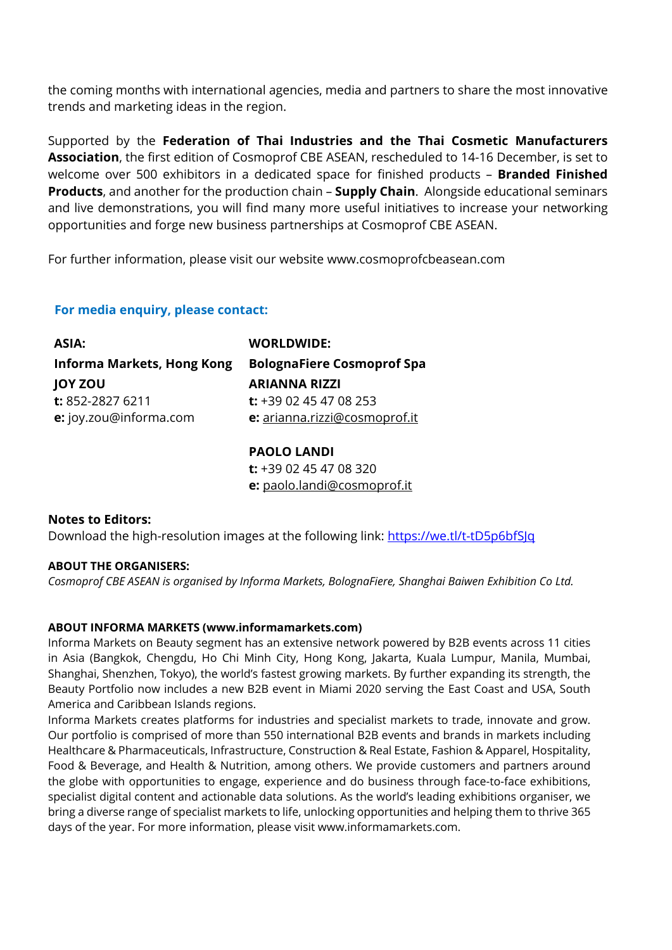the coming months with international agencies, media and partners to share the most innovative trends and marketing ideas in the region.

Supported by the **Federation of Thai Industries and the Thai Cosmetic Manufacturers Association**, the first edition of Cosmoprof CBE ASEAN, rescheduled to 14-16 December, is set to welcome over 500 exhibitors in a dedicated space for finished products – **Branded Finished Products**, and another for the production chain – **Supply Chain**. Alongside educational seminars and live demonstrations, you will find many more useful initiatives to increase your networking opportunities and forge new business partnerships at Cosmoprof CBE ASEAN.

For further information, please visit our website [www.cosmoprofcbeasean.com](http://www.cosmoprofcbeasean.com/)

## **For media enquiry, please contact:**

| ASIA:                             | <b>WORLDWIDE:</b>                 |
|-----------------------------------|-----------------------------------|
| <b>Informa Markets, Hong Kong</b> | <b>BolognaFiere Cosmoprof Spa</b> |
| <b>JOY ZOU</b>                    | <b>ARIANNA RIZZI</b>              |
| t: 852-2827 6211                  | t: $+3902454708253$               |
| e: joy.zou@informa.com            | e: arianna.rizzi@cosmoprof.it     |
|                                   |                                   |

**PAOLO LANDI t:** +39 02 45 47 08 320 **e:** paolo.landi@cosmoprof.it

## **Notes to Editors:**

Download the high-resolution images at the following link:<https://we.tl/t-tD5p6bfSJq>

## **ABOUT THE ORGANISERS:**

*Cosmoprof CBE ASEAN is organised by Informa Markets, BolognaFiere, Shanghai Baiwen Exhibition Co Ltd.* 

## **ABOUT INFORMA MARKETS (www.informamarkets.com)**

Informa Markets on Beauty segment has an extensive network powered by B2B events across 11 cities in Asia (Bangkok, Chengdu, Ho Chi Minh City, Hong Kong, Jakarta, Kuala Lumpur, Manila, Mumbai, Shanghai, Shenzhen, Tokyo), the world's fastest growing markets. By further expanding its strength, the Beauty Portfolio now includes a new B2B event in Miami 2020 serving the East Coast and USA, South America and Caribbean Islands regions.

Informa Markets creates platforms for industries and specialist markets to trade, innovate and grow. Our portfolio is comprised of more than 550 international B2B events and brands in markets including Healthcare & Pharmaceuticals, Infrastructure, Construction & Real Estate, Fashion & Apparel, Hospitality, Food & Beverage, and Health & Nutrition, among others. We provide customers and partners around the globe with opportunities to engage, experience and do business through face-to-face exhibitions, specialist digital content and actionable data solutions. As the world's leading exhibitions organiser, we bring a diverse range of specialist markets to life, unlocking opportunities and helping them to thrive 365 days of the year. For more information, please visit www.informamarkets.com.